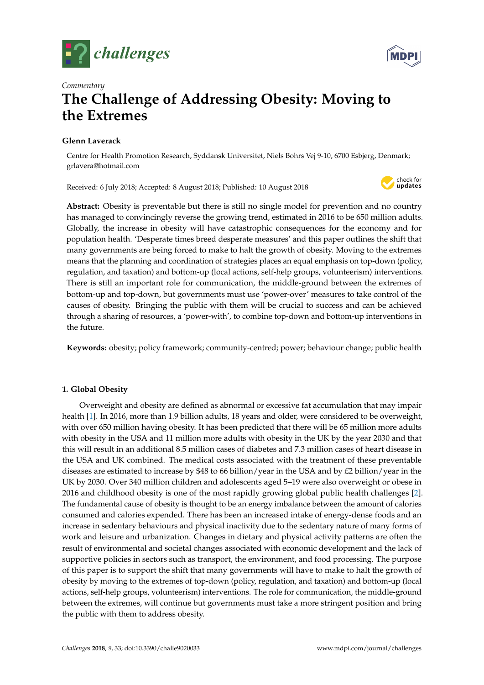



# *Commentary* **The Challenge of Addressing Obesity: Moving to the Extremes**

## **Glenn Laverack**

Centre for Health Promotion Research, Syddansk Universitet, Niels Bohrs Vej 9-10, 6700 Esbjerg, Denmark; grlavera@hotmail.com

Received: 6 July 2018; Accepted: 8 August 2018; Published: 10 August 2018



**Abstract:** Obesity is preventable but there is still no single model for prevention and no country has managed to convincingly reverse the growing trend, estimated in 2016 to be 650 million adults. Globally, the increase in obesity will have catastrophic consequences for the economy and for population health. 'Desperate times breed desperate measures' and this paper outlines the shift that many governments are being forced to make to halt the growth of obesity. Moving to the extremes means that the planning and coordination of strategies places an equal emphasis on top-down (policy, regulation, and taxation) and bottom-up (local actions, self-help groups, volunteerism) interventions. There is still an important role for communication, the middle-ground between the extremes of bottom-up and top-down, but governments must use 'power-over' measures to take control of the causes of obesity. Bringing the public with them will be crucial to success and can be achieved through a sharing of resources, a 'power-with', to combine top-down and bottom-up interventions in the future.

**Keywords:** obesity; policy framework; community-centred; power; behaviour change; public health

# **1. Global Obesity**

Overweight and obesity are defined as abnormal or excessive fat accumulation that may impair health [\[1\]](#page-3-0). In 2016, more than 1.9 billion adults, 18 years and older, were considered to be overweight, with over 650 million having obesity. It has been predicted that there will be 65 million more adults with obesity in the USA and 11 million more adults with obesity in the UK by the year 2030 and that this will result in an additional 8.5 million cases of diabetes and 7.3 million cases of heart disease in the USA and UK combined. The medical costs associated with the treatment of these preventable diseases are estimated to increase by \$48 to 66 billion/year in the USA and by £2 billion/year in the UK by 2030. Over 340 million children and adolescents aged 5–19 were also overweight or obese in 2016 and childhood obesity is one of the most rapidly growing global public health challenges [\[2\]](#page-3-1). The fundamental cause of obesity is thought to be an energy imbalance between the amount of calories consumed and calories expended. There has been an increased intake of energy-dense foods and an increase in sedentary behaviours and physical inactivity due to the sedentary nature of many forms of work and leisure and urbanization. Changes in dietary and physical activity patterns are often the result of environmental and societal changes associated with economic development and the lack of supportive policies in sectors such as transport, the environment, and food processing. The purpose of this paper is to support the shift that many governments will have to make to halt the growth of obesity by moving to the extremes of top-down (policy, regulation, and taxation) and bottom-up (local actions, self-help groups, volunteerism) interventions. The role for communication, the middle-ground between the extremes, will continue but governments must take a more stringent position and bring the public with them to address obesity.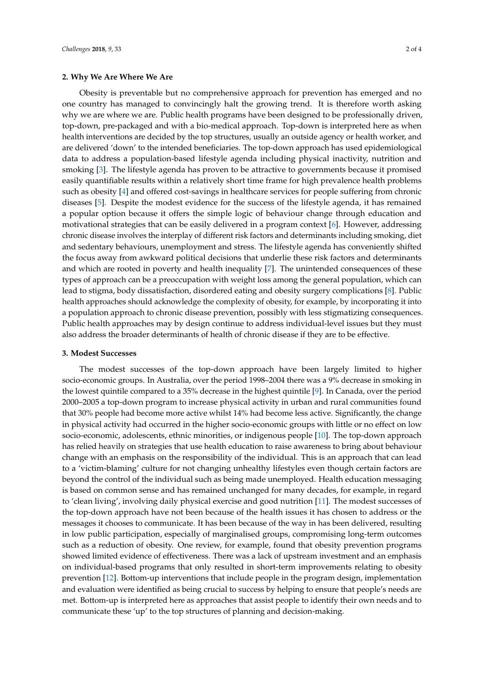## **2. Why We Are Where We Are**

Obesity is preventable but no comprehensive approach for prevention has emerged and no one country has managed to convincingly halt the growing trend. It is therefore worth asking why we are where we are. Public health programs have been designed to be professionally driven, top-down, pre-packaged and with a bio-medical approach. Top-down is interpreted here as when health interventions are decided by the top structures, usually an outside agency or health worker, and are delivered 'down' to the intended beneficiaries. The top-down approach has used epidemiological data to address a population-based lifestyle agenda including physical inactivity, nutrition and smoking [\[3\]](#page-3-2). The lifestyle agenda has proven to be attractive to governments because it promised easily quantifiable results within a relatively short time frame for high prevalence health problems such as obesity [\[4\]](#page-3-3) and offered cost-savings in healthcare services for people suffering from chronic diseases [\[5\]](#page-3-4). Despite the modest evidence for the success of the lifestyle agenda, it has remained a popular option because it offers the simple logic of behaviour change through education and motivational strategies that can be easily delivered in a program context [\[6\]](#page-3-5). However, addressing chronic disease involves the interplay of different risk factors and determinants including smoking, diet and sedentary behaviours, unemployment and stress. The lifestyle agenda has conveniently shifted the focus away from awkward political decisions that underlie these risk factors and determinants and which are rooted in poverty and health inequality [\[7\]](#page-3-6). The unintended consequences of these types of approach can be a preoccupation with weight loss among the general population, which can lead to stigma, body dissatisfaction, disordered eating and obesity surgery complications [\[8\]](#page-3-7). Public health approaches should acknowledge the complexity of obesity, for example, by incorporating it into a population approach to chronic disease prevention, possibly with less stigmatizing consequences. Public health approaches may by design continue to address individual-level issues but they must also address the broader determinants of health of chronic disease if they are to be effective.

## **3. Modest Successes**

The modest successes of the top-down approach have been largely limited to higher socio-economic groups. In Australia, over the period 1998–2004 there was a 9% decrease in smoking in the lowest quintile compared to a 35% decrease in the highest quintile [\[9\]](#page-3-8). In Canada, over the period 2000–2005 a top-down program to increase physical activity in urban and rural communities found that 30% people had become more active whilst 14% had become less active. Significantly, the change in physical activity had occurred in the higher socio-economic groups with little or no effect on low socio-economic, adolescents, ethnic minorities, or indigenous people [\[10\]](#page-3-9). The top-down approach has relied heavily on strategies that use health education to raise awareness to bring about behaviour change with an emphasis on the responsibility of the individual. This is an approach that can lead to a 'victim-blaming' culture for not changing unhealthy lifestyles even though certain factors are beyond the control of the individual such as being made unemployed. Health education messaging is based on common sense and has remained unchanged for many decades, for example, in regard to 'clean living', involving daily physical exercise and good nutrition [\[11\]](#page-3-10). The modest successes of the top-down approach have not been because of the health issues it has chosen to address or the messages it chooses to communicate. It has been because of the way in has been delivered, resulting in low public participation, especially of marginalised groups, compromising long-term outcomes such as a reduction of obesity. One review, for example, found that obesity prevention programs showed limited evidence of effectiveness. There was a lack of upstream investment and an emphasis on individual-based programs that only resulted in short-term improvements relating to obesity prevention [\[12\]](#page-3-11). Bottom-up interventions that include people in the program design, implementation and evaluation were identified as being crucial to success by helping to ensure that people's needs are met. Bottom-up is interpreted here as approaches that assist people to identify their own needs and to communicate these 'up' to the top structures of planning and decision-making.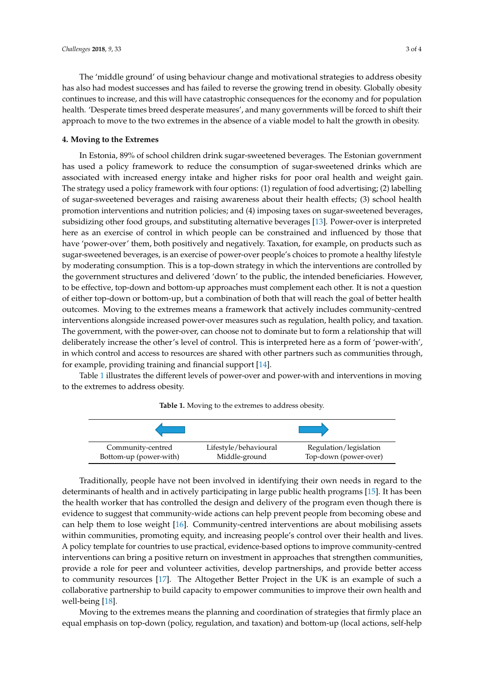The 'middle ground' of using behaviour change and motivational strategies to address obesity has also had modest successes and has failed to reverse the growing trend in obesity. Globally obesity continues to increase, and this will have catastrophic consequences for the economy and for population health. 'Desperate times breed desperate measures', and many governments will be forced to shift their approach to move to the two extremes in the absence of a viable model to halt the growth in obesity.

#### **4. Moving to the Extremes** *Challenges* **2018**, *9*, x 3 of 4 *Challenges* **2018**, *9*, x 3 of 4

In Estonia, 89% of school children drink sugar-sweetened beverages. The Estonian government has used a policy framework to reduce the consumption of sugar-sweetened drinks which are associated with increased energy intake and higher risks for poor oral health and weight gain. The strategy used a policy framework with four options: (1) regulation of food advertising; (2) labelling of sugar-sweetened beverages and raising awareness about their health effects; (3) school health promotion interventions and nutrition policies; and (4) imposing taxes on sugar-sweetened beverages, subsidizing other food groups, and substituting alternative beverages [\[13\]](#page-3-12). Power-over is interpreted here as an exercise of control in which people can be constrained and influenced by those that have 'power-over' them, both positively and negatively. Taxation, for example, on products such as sugar-sweetened beverages, is an exercise of power-over people's choices to promote a healthy lifestyle by moderating consumption. This is a top-down strategy in which the interventions are controlled by the government structures and delivered 'down' to the public, the intended beneficiaries. However, to be effective, top-down and bottom-up approaches must complement each other. It is not a question of either top-down or bottom-up, but a combination of both that will reach the goal of better health outcomes. Moving to the extremes means a framework that actively includes community-centred interventions alongside increased power-over measures such as regulation, health policy, and taxation. The government, with the power-over, can choose not to dominate but to form a relationship that will deliberately increase the other's level of control. This is interpreted here as a form of 'power-with', in which control and access to resources are shared with other partners such as communities through, for example, providing training and financial support  $[14]$ . of sugar-sweetened beverages and raising awareness about their health effects; (3) school health products such as such as such as such as such as sugar-sweetened beneficially choices to both the accuracy of the goal of the goal of better health of the extreme postery, and  $w_i$  providing uniting the interaction of providing training training training training training  $\frac{1}{2}$  $\alpha$  exercise of control in which poople can be constrained and influenced by  $\mu$ roterio sugar-sweetened beverages and raising awareness and raising and raising and  $\frac{1}{2}$ those that have 'power-over' them, both positively and negatively. Taxation, for example, on products such as such as such as such as sugar-sweetened between performances. complement each other is not a question of the property of the completion of the policy or any both the goal the clases power over the asteres such as regulatory nearly poney, and  $\Gamma$  is interpreted here as a form of  $\Gamma$  in and access to respect to respect to respect to respect to respect to respect to respect to respect to respect to respect to respect to respect to respect to respect to respect  $\kappa$ , providing dumministic municial support  $\mu$ ,  $\mu$ 

<span id="page-2-0"></span>Table  $1$  illustrates the different levels of power-over and power-with and interventions in moving to the extremes to address obesity.



#### **Table 1.** Moving to the extremes to address obesity.

Traditionally, people have not been involved in identifying their own needs in regard to the determinants of health and in active participation participating in the programs in large programs in the prog determinants of health and in actively participating in large public health programs [\[15\]](#page-3-14). It has been the health worker that has controlled the design and delivery of the program even though there is  $\alpha$  cugaret that community-wide actions can help provent people from becoming as with component communities, promoting equity, and increase control over the  $\frac{1}{2}$ can help them to lose weight [\[16\]](#page-3-15). Community-centred interventions are about mobilising assets within communities, promoting equity, and increasing people's control over their health and lives. A policy template for countries to use practical, evidence-based options to improve community-centred  $\alpha$  computer  $\alpha$  positive return on investment in engage that strongther computed that call build capacity for the collaboration of the employees the substantial communities to improve the community of the community of the community of the community of the community of the community of the community of the c provide a role for peer and volunteer activities, develop partnerships, and provide better access to community resources [\[17\]](#page-3-16). The Altogether Better Project in the UK is an example of such a collaborative partnership to build capacity to empower communities to improve their own health and  $\mathbf{u}$ Traditionally, people have not been involved in identifying their own needs in regard to the Traditionally, people have not been involved in identifying their own needs in regard to the evidence to suggest that community-wide actions can help prevent people from becoming obese and lives. A summer  $\epsilon$  $\alpha$  computer  $\alpha$  modifies where  $\alpha$  introduces in annual doctor that at unperformance interventions can bring a positive return on investment in approaches that strengthen communities, groups, volumes, volumes, there is still an important role for communications. There is still an important role for communication and  $\alpha$ well-being [\[18\]](#page-3-17).

Long<sub>levi</sub>.<br>Moving to the extremes means the planning and coordination of strategies that firmly place an equal emphasis on top-down (policy, regulation, and taxation) and bottom-up (local actions, self-help